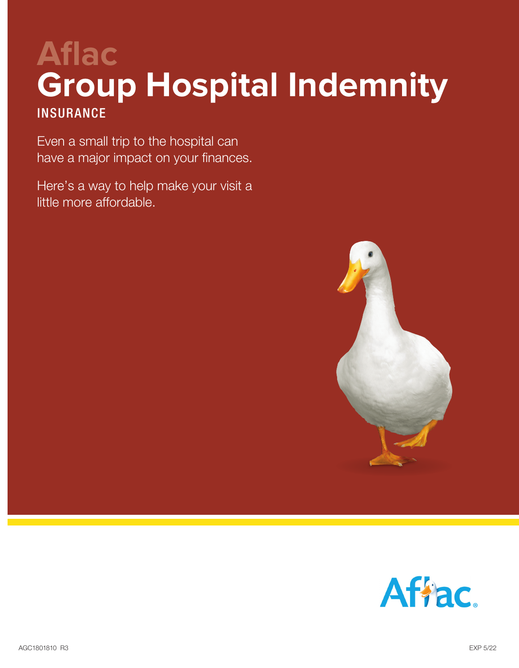# **Aflac Group Hospital Indemnity INSURANCE**

Even a small trip to the hospital can have a major impact on your finances.

Here's a way to help make your visit a little more affordable.



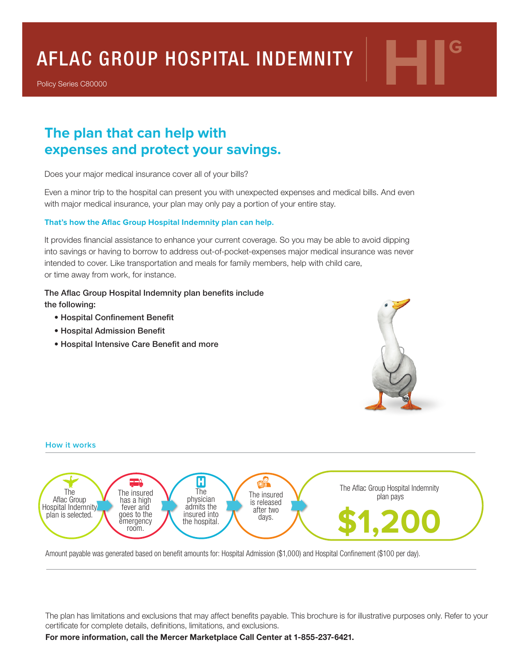## AFLAC GROUP HOSPITAL INDEMNITY **HIG**

Policy Series C80000

### **The plan that can help with expenses and protect your savings.**

Does your major medical insurance cover all of your bills?

Even a minor trip to the hospital can present you with unexpected expenses and medical bills. And even with major medical insurance, your plan may only pay a portion of your entire stay.

#### **That's how the Aflac Group Hospital Indemnity plan can help.**

It provides financial assistance to enhance your current coverage. So you may be able to avoid dipping into savings or having to borrow to address out-of-pocket-expenses major medical insurance was never intended to cover. Like transportation and meals for family members, help with child care, or time away from work, for instance.

#### The Aflac Group Hospital Indemnity plan benefits include

the following:

- Hospital Confinement Benefit
- Hospital Admission Benefit
- Hospital Intensive Care Benefit and more





Amount payable was generated based on benefit amounts for: Hospital Admission (\$1,000) and Hospital Confinement (\$100 per day).

The plan has limitations and exclusions that may affect benefits payable. This brochure is for illustrative purposes only. Refer to your certificate for complete details, definitions, limitations, and exclusions.

**For more information, call the Mercer Marketplace Call Center at 1-855-237-6421.**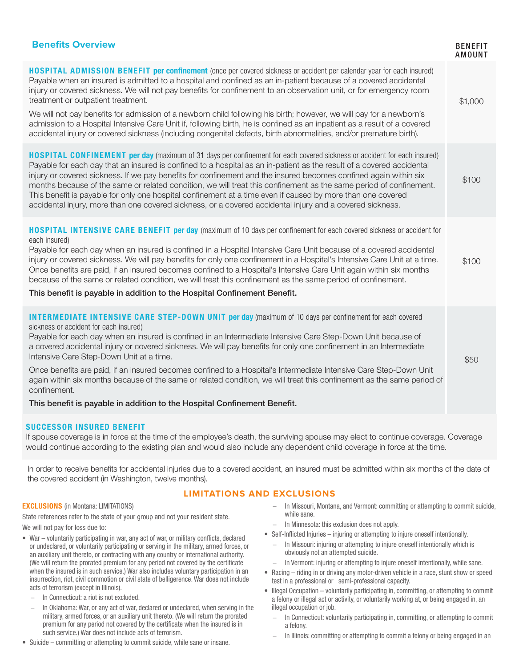| <b>Benefits Overview</b>                                                                                                                                                                                                                                                                                                                                                                                                                                                                                                                                                                                                                                                                                                                                                             | <b>BENEFIT</b><br>AMOUNT |
|--------------------------------------------------------------------------------------------------------------------------------------------------------------------------------------------------------------------------------------------------------------------------------------------------------------------------------------------------------------------------------------------------------------------------------------------------------------------------------------------------------------------------------------------------------------------------------------------------------------------------------------------------------------------------------------------------------------------------------------------------------------------------------------|--------------------------|
| HOSPITAL ADMISSION BENEFIT per confinement (once per covered sickness or accident per calendar year for each insured)<br>Payable when an insured is admitted to a hospital and confined as an in-patient because of a covered accidental<br>injury or covered sickness. We will not pay benefits for confinement to an observation unit, or for emergency room<br>treatment or outpatient treatment.<br>We will not pay benefits for admission of a newborn child following his birth; however, we will pay for a newborn's<br>admission to a Hospital Intensive Care Unit if, following birth, he is confined as an inpatient as a result of a covered<br>accidental injury or covered sickness (including congenital defects, birth abnormalities, and/or premature birth).        | \$1,000                  |
| HOSPITAL CONFINEMENT per day (maximum of 31 days per confinement for each covered sickness or accident for each insured)<br>Payable for each day that an insured is confined to a hospital as an in-patient as the result of a covered accidental<br>injury or covered sickness. If we pay benefits for confinement and the insured becomes confined again within six<br>months because of the same or related condition, we will treat this confinement as the same period of confinement.<br>This benefit is payable for only one hospital confinement at a time even if caused by more than one covered<br>accidental injury, more than one covered sickness, or a covered accidental injury and a covered sickness.                                                              | \$100                    |
| HOSPITAL INTENSIVE CARE BENEFIT per day (maximum of 10 days per confinement for each covered sickness or accident for<br>each insured)<br>Payable for each day when an insured is confined in a Hospital Intensive Care Unit because of a covered accidental<br>injury or covered sickness. We will pay benefits for only one confinement in a Hospital's Intensive Care Unit at a time.<br>Once benefits are paid, if an insured becomes confined to a Hospital's Intensive Care Unit again within six months<br>because of the same or related condition, we will treat this confinement as the same period of confinement.<br>This benefit is payable in addition to the Hospital Confinement Benefit.                                                                            | \$100                    |
| <b>INTERMEDIATE INTENSIVE CARE STEP-DOWN UNIT per day</b> (maximum of 10 days per confinement for each covered<br>sickness or accident for each insured)<br>Payable for each day when an insured is confined in an Intermediate Intensive Care Step-Down Unit because of<br>a covered accidental injury or covered sickness. We will pay benefits for only one confinement in an Intermediate<br>Intensive Care Step-Down Unit at a time.<br>Once benefits are paid, if an insured becomes confined to a Hospital's Intermediate Intensive Care Step-Down Unit<br>again within six months because of the same or related condition, we will treat this confinement as the same period of<br>confinement.<br>This benefit is payable in addition to the Hospital Confinement Benefit. | \$50                     |
| <b>SUCCESSOR INSURED BENEFIT</b>                                                                                                                                                                                                                                                                                                                                                                                                                                                                                                                                                                                                                                                                                                                                                     |                          |

If spouse coverage is in force at the time of the employee's death, the surviving spouse may elect to continue coverage. Coverage would continue according to the existing plan and would also include any dependent child coverage in force at the time.

In order to receive benefits for accidental injuries due to a covered accident, an insured must be admitted within six months of the date of the covered accident (in Washington, twelve months).

#### **LIMITATIONS AND EXCLUSIONS**

#### EXCLUSIONS (in Montana: LIMITATIONS)

State references refer to the state of your group and not your resident state. We will not pay for loss due to:

- War voluntarily participating in war, any act of war, or military conflicts, declared or undeclared, or voluntarily participating or serving in the military, armed forces, or an auxiliary unit thereto, or contracting with any country or international authority. (We will return the prorated premium for any period not covered by the certificate when the insured is in such service.) War also includes voluntary participation in an insurrection, riot, civil commotion or civil state of belligerence. War does not include acts of terrorism (except in Illinois).
	- − In Connecticut: a riot is not excluded.
	- In Oklahoma: War, or any act of war, declared or undeclared, when serving in the military, armed forces, or an auxiliary unit thereto. (We will return the prorated premium for any period not covered by the certificate when the insured is in such service.) War does not include acts of terrorism.
- Suicide committing or attempting to commit suicide, while sane or insane.
- − In Missouri, Montana, and Vermont: committing or attempting to commit suicide, while sane.
- − In Minnesota: this exclusion does not apply.
- Self-Inflicted Injuries injuring or attempting to injure oneself intentionally.
	- − In Missouri: injuring or attempting to injure oneself intentionally which is obviously not an attempted suicide.
	- In Vermont: injuring or attempting to injure oneself intentionally, while sane.
- Racing riding in or driving any motor-driven vehicle in a race, stunt show or speed test in a professional or semi-professional capacity.
- Illegal Occupation voluntarily participating in, committing, or attempting to commit a felony or illegal act or activity, or voluntarily working at, or being engaged in, an illegal occupation or job.
	- − In Connecticut: voluntarily participating in, committing, or attempting to commit a felony.
	- − In Illinois: committing or attempting to commit a felony or being engaged in an